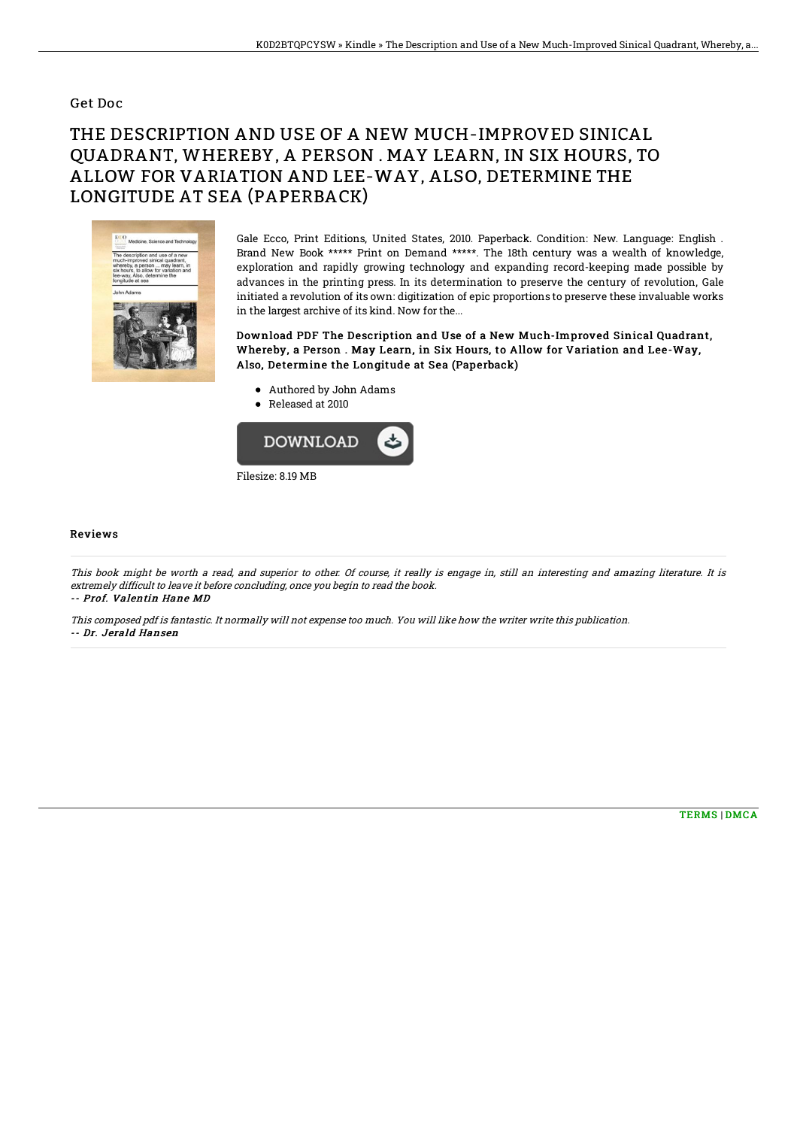## Get Doc

## THE DESCRIPTION AND USE OF A NEW MUCH-IMPROVED SINICAL QUADRANT, WHEREBY, A PERSON . MAY LEARN, IN SIX HOURS, TO ALLOW FOR VARIATION AND LEE-WAY, ALSO, DETERMINE THE LONGITUDE AT SEA (PAPERBACK)



Gale Ecco, Print Editions, United States, 2010. Paperback. Condition: New. Language: English . Brand New Book \*\*\*\*\* Print on Demand \*\*\*\*\*. The 18th century was a wealth of knowledge, exploration and rapidly growing technology and expanding record-keeping made possible by advances in the printing press. In its determination to preserve the century of revolution, Gale initiated a revolution of its own: digitization of epic proportions to preserve these invaluable works in the largest archive of its kind. Now for the...

Download PDF The Description and Use of a New Much-Improved Sinical Quadrant, Whereby, a Person . May Learn, in Six Hours, to Allow for Variation and Lee-Way, Also, Determine the Longitude at Sea (Paperback)

- Authored by John Adams
- Released at 2010



## Reviews

This book might be worth <sup>a</sup> read, and superior to other. Of course, it really is engage in, still an interesting and amazing literature. It is extremely difficult to leave it before concluding, once you begin to read the book. -- Prof. Valentin Hane MD

This composed pdf is fantastic. It normally will not expense too much. You will like how the writer write this publication. -- Dr. Jerald Hansen